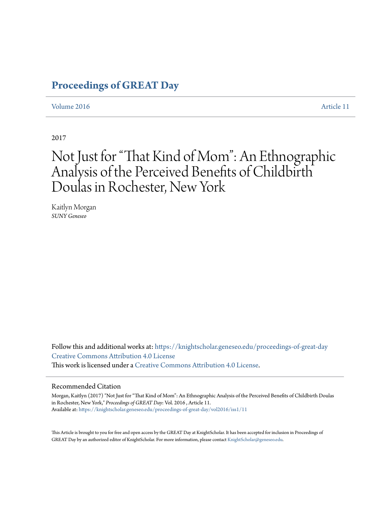## **[Proceedings of GREAT Day](https://knightscholar.geneseo.edu/proceedings-of-great-day?utm_source=knightscholar.geneseo.edu%2Fproceedings-of-great-day%2Fvol2016%2Fiss1%2F11&utm_medium=PDF&utm_campaign=PDFCoverPages)**

#### [Volume 2016](https://knightscholar.geneseo.edu/proceedings-of-great-day/vol2016?utm_source=knightscholar.geneseo.edu%2Fproceedings-of-great-day%2Fvol2016%2Fiss1%2F11&utm_medium=PDF&utm_campaign=PDFCoverPages) **[Article 11](https://knightscholar.geneseo.edu/proceedings-of-great-day/vol2016/iss1/11?utm_source=knightscholar.geneseo.edu%2Fproceedings-of-great-day%2Fvol2016%2Fiss1%2F11&utm_medium=PDF&utm_campaign=PDFCoverPages)**

2017

## Not Just for "That Kind of Mom": An Ethnographic Analysis of the Perceived Benefits of Childbirth Doulas in Rochester, New York

Kaitlyn Morgan *SUNY Geneseo*

Follow this and additional works at: [https://knightscholar.geneseo.edu/proceedings-of-great-day](https://knightscholar.geneseo.edu/proceedings-of-great-day?utm_source=knightscholar.geneseo.edu%2Fproceedings-of-great-day%2Fvol2016%2Fiss1%2F11&utm_medium=PDF&utm_campaign=PDFCoverPages) [Creative Commons Attribution 4.0 License](http://creativecommons.org/licenses/by/4.0/) This work is licensed under a [Creative Commons Attribution 4.0 License.](http://creativecommons.org/licenses/by/4.0/)

#### Recommended Citation

Morgan, Kaitlyn (2017) "Not Just for "That Kind of Mom": An Ethnographic Analysis of the Perceived Benefits of Childbirth Doulas in Rochester, New York," *Proceedings of GREAT Day*: Vol. 2016 , Article 11. Available at: [https://knightscholar.geneseo.edu/proceedings-of-great-day/vol2016/iss1/11](https://knightscholar.geneseo.edu/proceedings-of-great-day/vol2016/iss1/11?utm_source=knightscholar.geneseo.edu%2Fproceedings-of-great-day%2Fvol2016%2Fiss1%2F11&utm_medium=PDF&utm_campaign=PDFCoverPages)

This Article is brought to you for free and open access by the GREAT Day at KnightScholar. It has been accepted for inclusion in Proceedings of GREAT Day by an authorized editor of KnightScholar. For more information, please contact [KnightScholar@geneseo.edu.](mailto:KnightScholar@geneseo.edu)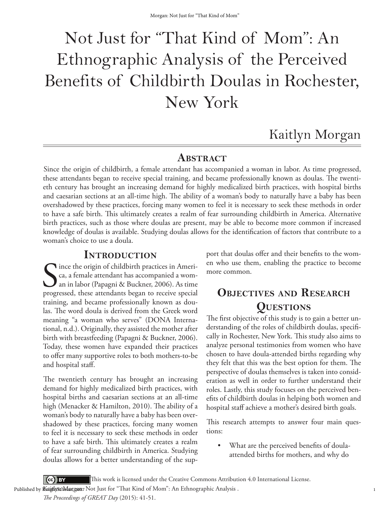# Not Just for "That Kind of Mom": An Ethnographic Analysis of the Perceived Benefits of Childbirth Doulas in Rochester, New York

## Kaitlyn Morgan

#### **ABSTRACT**

Since the origin of childbirth, a female attendant has accompanied a woman in labor. As time progressed, these attendants began to receive special training, and became professionally known as doulas. The twentieth century has brought an increasing demand for highly medicalized birth practices, with hospital births and caesarian sections at an all-time high. The ability of a woman's body to naturally have a baby has been overshadowed by these practices, forcing many women to feel it is necessary to seek these methods in order to have a safe birth. This ultimately creates a realm of fear surrounding childbirth in America. Alternative birth practices, such as those where doulas are present, may be able to become more common if increased knowledge of doulas is available. Studying doulas allows for the identification of factors that contribute to a woman's choice to use a doula.

#### **Introduction**

Since the origin of childbirth practices in Ameri-<br>
ca, a female attendant has accompanied a wom-<br>
an in labor (Papagni & Buckner, 2006). As time<br>
progressed, these attendants began to receive special ca, a female attendant has accompanied a woman in labor (Papagni & Buckner, 2006). As time progressed, these attendants began to receive special training, and became professionally known as doulas. The word doula is derived from the Greek word meaning "a woman who serves" (DONA International, n.d.). Originally, they assisted the mother after birth with breastfeeding (Papagni & Buckner, 2006). Today, these women have expanded their practices to offer many supportive roles to both mothers-to-be and hospital staff.

The twentieth century has brought an increasing demand for highly medicalized birth practices, with hospital births and caesarian sections at an all-time high (Menacker & Hamilton, 2010). The ability of a woman's body to naturally have a baby has been overshadowed by these practices, forcing many women to feel it is necessary to seek these methods in order to have a safe birth. This ultimately creates a realm of fear surrounding childbirth in America. Studying doulas allows for a better understanding of the support that doulas offer and their benefits to the women who use them, enabling the practice to become more common.

## **Objectives and Research Questions**

The first objective of this study is to gain a better understanding of the roles of childbirth doulas, specifically in Rochester, New York. This study also aims to analyze personal testimonies from women who have chosen to have doula-attended births regarding why they felt that this was the best option for them. The perspective of doulas themselves is taken into consideration as well in order to further understand their roles. Lastly, this study focuses on the perceived benefits of childbirth doulas in helping both women and hospital staff achieve a mother's desired birth goals.

This research attempts to answer four main questions:

What are the perceived benefits of doulaattended births for mothers, and why do

 $\left( \text{cc} \right)$  BY This work is licensed under the Creative Commons Attribution 4.0 International License.

Published by **KaigilistchMargan**7 Not Just for "That Kind of Mom": An Ethnographic Analysis .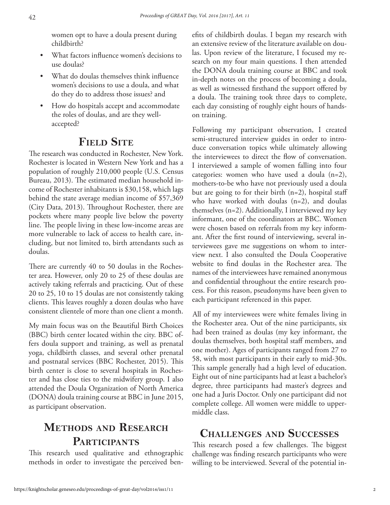women opt to have a doula present during childbirth?

- What factors influence women's decisions to use doulas?
- What do doulas themselves think influence women's decisions to use a doula, and what do they do to address those issues? and
- How do hospitals accept and accommodate the roles of doulas, and are they wellaccepted?

## **Field Site**

The research was conducted in Rochester, New York. Rochester is located in Western New York and has a population of roughly 210,000 people (U.S. Census Bureau, 2013). The estimated median household income of Rochester inhabitants is \$30,158, which lags behind the state average median income of \$57,369 (City Data, 2013). Throughout Rochester, there are pockets where many people live below the poverty line. The people living in these low-income areas are more vulnerable to lack of access to health care, including, but not limited to, birth attendants such as doulas.

There are currently 40 to 50 doulas in the Rochester area. However, only 20 to 25 of these doulas are actively taking referrals and practicing. Out of these 20 to 25, 10 to 15 doulas are not consistently taking clients. This leaves roughly a dozen doulas who have consistent clientele of more than one client a month.

My main focus was on the Beautiful Birth Choices (BBC) birth center located within the city. BBC offers doula support and training, as well as prenatal yoga, childbirth classes, and several other prenatal and postnatal services (BBC Rochester, 2015). This birth center is close to several hospitals in Rochester and has close ties to the midwifery group. I also attended the Doula Organization of North America (DONA) doula training course at BBC in June 2015, as participant observation.

## **Methods and Research** PARTICIPANTS

This research used qualitative and ethnographic methods in order to investigate the perceived benefits of childbirth doulas. I began my research with an extensive review of the literature available on doulas. Upon review of the literature, I focused my research on my four main questions. I then attended the DONA doula training course at BBC and took in-depth notes on the process of becoming a doula, as well as witnessed firsthand the support offered by a doula. The training took three days to complete, each day consisting of roughly eight hours of handson training.

Following my participant observation, I created semi-structured interview guides in order to introduce conversation topics while ultimately allowing the interviewees to direct the flow of conversation. I interviewed a sample of women falling into four categories: women who have used a doula (n=2), mothers-to-be who have not previously used a doula but are going to for their birth (n=2), hospital staff who have worked with doulas (n=2), and doulas themselves (n=2). Additionally, I interviewed my key informant, one of the coordinators at BBC. Women were chosen based on referrals from my key informant. After the first round of interviewing, several interviewees gave me suggestions on whom to interview next. I also consulted the Doula Cooperative website to find doulas in the Rochester area. The names of the interviewees have remained anonymous and confidential throughout the entire research process. For this reason, pseudonyms have been given to each participant referenced in this paper.

All of my interviewees were white females living in the Rochester area. Out of the nine participants, six had been trained as doulas (my key informant, the doulas themselves, both hospital staff members, and one mother). Ages of participants ranged from 27 to 58, with most participants in their early to mid-30s. This sample generally had a high level of education. Eight out of nine participants had at least a bachelor's degree, three participants had master's degrees and one had a Juris Doctor. Only one participant did not complete college. All women were middle to uppermiddle class.

## **Challenges and Successes**

This research posed a few challenges. The biggest challenge was finding research participants who were willing to be interviewed. Several of the potential in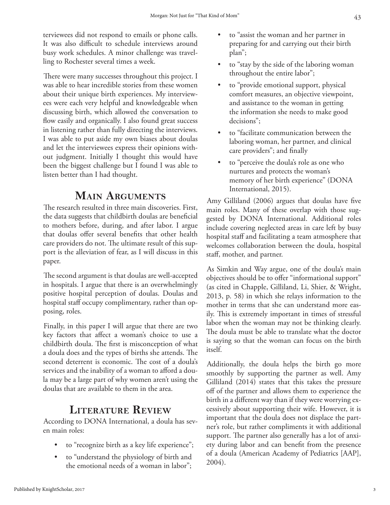terviewees did not respond to emails or phone calls. It was also difficult to schedule interviews around busy work schedules. A minor challenge was travelling to Rochester several times a week.

There were many successes throughout this project. I was able to hear incredible stories from these women about their unique birth experiences. My interviewees were each very helpful and knowledgeable when discussing birth, which allowed the conversation to flow easily and organically. I also found great success in listening rather than fully directing the interviews. I was able to put aside my own biases about doulas and let the interviewees express their opinions without judgment. Initially I thought this would have been the biggest challenge but I found I was able to listen better than I had thought.

#### **Main Arguments**

The research resulted in three main discoveries. First, the data suggests that childbirth doulas are beneficial to mothers before, during, and after labor. I argue that doulas offer several benefits that other health care providers do not. The ultimate result of this support is the alleviation of fear, as I will discuss in this paper.

The second argument is that doulas are well-accepted in hospitals. I argue that there is an overwhelmingly positive hospital perception of doulas. Doulas and hospital staff occupy complimentary, rather than opposing, roles.

Finally, in this paper I will argue that there are two key factors that affect a woman's choice to use a childbirth doula. The first is misconception of what a doula does and the types of births she attends. The second deterrent is economic. The cost of a doula's services and the inability of a woman to afford a doula may be a large part of why women aren't using the doulas that are available to them in the area.

## **Literature Review**

According to DONA International, a doula has seven main roles:

- to "recognize birth as a key life experience";
- to "understand the physiology of birth and the emotional needs of a woman in labor";
- to "assist the woman and her partner in preparing for and carrying out their birth plan";
- to "stay by the side of the laboring woman throughout the entire labor";
- to "provide emotional support, physical comfort measures, an objective viewpoint, and assistance to the woman in getting the information she needs to make good decisions";
- to "facilitate communication between the laboring woman, her partner, and clinical care providers"; and finally
- to "perceive the doula's role as one who nurtures and protects the woman's memory of her birth experience" (DONA International, 2015).

Amy Gilliland (2006) argues that doulas have five main roles. Many of these overlap with those suggested by DONA International. Additional roles include covering neglected areas in care left by busy hospital staff and facilitating a team atmosphere that welcomes collaboration between the doula, hospital staff, mother, and partner.

As Simkin and Way argue, one of the doula's main objectives should be to offer "informational support" (as cited in Chapple, Gilliland, Li, Shier, & Wright, 2013, p. 58) in which she relays information to the mother in terms that she can understand more easily. This is extremely important in times of stressful labor when the woman may not be thinking clearly. The doula must be able to translate what the doctor is saying so that the woman can focus on the birth itself.

Additionally, the doula helps the birth go more smoothly by supporting the partner as well. Amy Gilliland (2014) states that this takes the pressure off of the partner and allows them to experience the birth in a different way than if they were worrying excessively about supporting their wife. However, it is important that the doula does not displace the partner's role, but rather compliments it with additional support. The partner also generally has a lot of anxiety during labor and can benefit from the presence of a doula (American Academy of Pediatrics [AAP], 2004).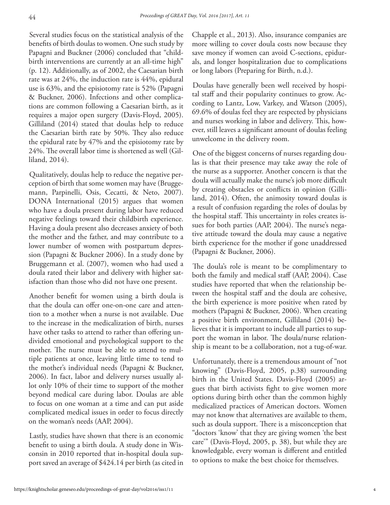Several studies focus on the statistical analysis of the benefits of birth doulas to women. One such study by Papagni and Buckner (2006) concluded that "childbirth interventions are currently at an all-time high" (p. 12). Additionally, as of 2002, the Caesarian birth rate was at 24%, the induction rate is 44%, epidural use is 63%, and the episiotomy rate is 52% (Papagni & Buckner, 2006). Infections and other complications are common following a Caesarian birth, as it requires a major open surgery (Davis-Floyd, 2005). Gilliland (2014) stated that doulas help to reduce the Caesarian birth rate by 50%. They also reduce the epidural rate by 47% and the episiotomy rate by 24%. The overall labor time is shortened as well (Gilliland, 2014).

Qualitatively, doulas help to reduce the negative perception of birth that some women may have (Bruggemann, Parpinelli, Osis, Cecatti, & Neto, 2007). DONA International (2015) argues that women who have a doula present during labor have reduced negative feelings toward their childbirth experience. Having a doula present also decreases anxiety of both the mother and the father, and may contribute to a lower number of women with postpartum depression (Papagni & Buckner 2006). In a study done by Bruggemann et al. (2007), women who had used a doula rated their labor and delivery with higher satisfaction than those who did not have one present.

Another benefit for women using a birth doula is that the doula can offer one-on-one care and attention to a mother when a nurse is not available. Due to the increase in the medicalization of birth, nurses have other tasks to attend to rather than offering undivided emotional and psychological support to the mother. The nurse must be able to attend to multiple patients at once, leaving little time to tend to the mother's individual needs (Papagni & Buckner, 2006). In fact, labor and delivery nurses usually allot only 10% of their time to support of the mother beyond medical care during labor. Doulas are able to focus on one woman at a time and can put aside complicated medical issues in order to focus directly on the woman's needs (AAP, 2004).

Lastly, studies have shown that there is an economic benefit to using a birth doula. A study done in Wisconsin in 2010 reported that in-hospital doula support saved an average of \$424.14 per birth (as cited in

Chapple et al., 2013). Also, insurance companies are more willing to cover doula costs now because they save money if women can avoid C-sections, epidurals, and longer hospitalization due to complications or long labors (Preparing for Birth, n.d.).

Doulas have generally been well received by hospital staff and their popularity continues to grow. According to Lantz, Low, Varkey, and Watson (2005), 69.6% of doulas feel they are respected by physicians and nurses working in labor and delivery. This, however, still leaves a significant amount of doulas feeling unwelcome in the delivery room.

One of the biggest concerns of nurses regarding doulas is that their presence may take away the role of the nurse as a supporter. Another concern is that the doula will actually make the nurse's job more difficult by creating obstacles or conflicts in opinion (Gilliland, 2014). Often, the animosity toward doulas is a result of confusion regarding the roles of doulas by the hospital staff. This uncertainty in roles creates issues for both parties (AAP, 2004). The nurse's negative attitude toward the doula may cause a negative birth experience for the mother if gone unaddressed (Papagni & Buckner, 2006).

The doula's role is meant to be complimentary to both the family and medical staff (AAP, 2004). Case studies have reported that when the relationship between the hospital staff and the doula are cohesive, the birth experience is more positive when rated by mothers (Papagni & Buckner, 2006). When creating a positive birth environment, Gilliland (2014) believes that it is important to include all parties to support the woman in labor. The doula/nurse relationship is meant to be a collaboration, not a tug-of-war.

Unfortunately, there is a tremendous amount of "not knowing" (Davis-Floyd, 2005, p.38) surrounding birth in the United States. Davis-Floyd (2005) argues that birth activists fight to give women more options during birth other than the common highly medicalized practices of American doctors. Women may not know that alternatives are available to them, such as doula support. There is a misconception that "doctors 'know' that they are giving women 'the best care'" (Davis-Floyd, 2005, p. 38), but while they are knowledgable, every woman is different and entitled to options to make the best choice for themselves.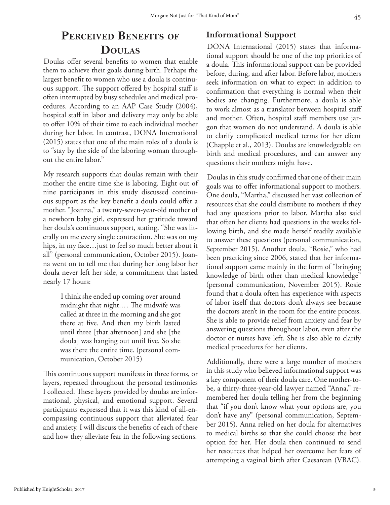## **Perceived Benefi ts of Doulas**

Doulas offer several benefits to women that enable them to achieve their goals during birth. Perhaps the largest benefit to women who use a doula is continuous support. The support offered by hospital staff is often interrupted by busy schedules and medical procedures. According to an AAP Case Study (2004), hospital staff in labor and delivery may only be able to offer 10% of their time to each individual mother during her labor. In contrast, DONA International (2015) states that one of the main roles of a doula is to "stay by the side of the laboring woman throughout the entire labor."

My research supports that doulas remain with their mother the entire time she is laboring. Eight out of nine participants in this study discussed continuous support as the key benefit a doula could offer a mother. "Joanna," a twenty-seven-year-old mother of a newborn baby girl, expressed her gratitude toward her doula's continuous support, stating, "She was literally on me every single contraction. She was on my hips, in my face…just to feel so much better about it all" (personal communication, October 2015). Joanna went on to tell me that during her long labor her doula never left her side, a commitment that lasted nearly 17 hours:

> I think she ended up coming over around midnight that night.… The midwife was called at three in the morning and she got there at five. And then my birth lasted until three [that afternoon] and she [the doula] was hanging out until five. So she was there the entire time. (personal communication, October 2015)

This continuous support manifests in three forms, or layers, repeated throughout the personal testimonies I collected. These layers provided by doulas are informational, physical, and emotional support. Several participants expressed that it was this kind of all-encompassing continuous support that alleviated fear and anxiety. I will discuss the benefits of each of these and how they alleviate fear in the following sections.

#### **Informational Support**

DONA International (2015) states that informational support should be one of the top priorities of a doula. This informational support can be provided before, during, and after labor. Before labor, mothers seek information on what to expect in addition to confirmation that everything is normal when their bodies are changing. Furthermore, a doula is able to work almost as a translator between hospital staff and mother. Often, hospital staff members use jargon that women do not understand. A doula is able to clarify complicated medical terms for her client (Chapple et al., 2013). Doulas are knowledgeable on birth and medical procedures, and can answer any questions their mothers might have.

Doulas in this study confirmed that one of their main goals was to offer informational support to mothers. One doula, "Martha," discussed her vast collection of resources that she could distribute to mothers if they had any questions prior to labor. Martha also said that often her clients had questions in the weeks following birth, and she made herself readily available to answer these questions (personal communication, September 2015). Another doula, "Rosie," who had been practicing since 2006, stated that her informational support came mainly in the form of "bringing knowledge of birth other than medical knowledge" (personal communication, November 2015). Rosie found that a doula often has experience with aspects of labor itself that doctors don't always see because the doctors aren't in the room for the entire process. She is able to provide relief from anxiety and fear by answering questions throughout labor, even after the doctor or nurses have left. She is also able to clarify medical procedures for her clients.

Additionally, there were a large number of mothers in this study who believed informational support was a key component of their doula care. One mother-tobe, a thirty-three-year-old lawyer named "Anna," remembered her doula telling her from the beginning that "if you don't know what your options are, you don't have any" (personal communication, September 2015). Anna relied on her doula for alternatives to medical births so that she could choose the best option for her. Her doula then continued to send her resources that helped her overcome her fears of attempting a vaginal birth after Caesarean (VBAC).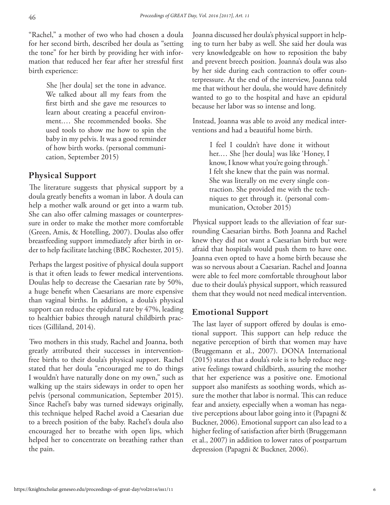"Rachel," a mother of two who had chosen a doula for her second birth, described her doula as "setting the tone" for her birth by providing her with information that reduced her fear after her stressful first birth experience:

> She [her doula] set the tone in advance. We talked about all my fears from the first birth and she gave me resources to learn about creating a peaceful environment.… She recommended books. She used tools to show me how to spin the baby in my pelvis. It was a good reminder of how birth works. (personal communication, September 2015)

#### **Physical Support**

The literature suggests that physical support by a doula greatly benefits a woman in labor. A doula can help a mother walk around or get into a warm tub. She can also offer calming massages or counterpressure in order to make the mother more comfortable (Green, Amis, & Hotelling, 2007). Doulas also offer breastfeeding support immediately after birth in order to help facilitate latching (BBC Rochester, 2015).

Perhaps the largest positive of physical doula support is that it often leads to fewer medical interventions. Doulas help to decrease the Caesarian rate by 50%, a huge benefit when Caesarians are more expensive than vaginal births. In addition, a doula's physical support can reduce the epidural rate by 47%, leading to healthier babies through natural childbirth practices (Gilliland, 2014).

Two mothers in this study, Rachel and Joanna, both greatly attributed their successes in interventionfree births to their doula's physical support. Rachel stated that her doula "encouraged me to do things I wouldn't have naturally done on my own," such as walking up the stairs sideways in order to open her pelvis (personal communication, September 2015). Since Rachel's baby was turned sideways originally, this technique helped Rachel avoid a Caesarian due to a breech position of the baby. Rachel's doula also encouraged her to breathe with open lips, which helped her to concentrate on breathing rather than the pain.

Joanna discussed her doula's physical support in helping to turn her baby as well. She said her doula was very knowledgeable on how to reposition the baby and prevent breech position. Joanna's doula was also by her side during each contraction to offer counterpressure. At the end of the interview, Joanna told me that without her doula, she would have definitely wanted to go to the hospital and have an epidural because her labor was so intense and long.

Instead, Joanna was able to avoid any medical interventions and had a beautiful home birth.

> I feel I couldn't have done it without her.… She [her doula] was like 'Honey, I know, I know what you're going through.' I felt she knew that the pain was normal. She was literally on me every single contraction. She provided me with the techniques to get through it. (personal communication, October 2015)

Physical support leads to the alleviation of fear surrounding Caesarian births. Both Joanna and Rachel knew they did not want a Caesarian birth but were afraid that hospitals would push them to have one. Joanna even opted to have a home birth because she was so nervous about a Caesarian. Rachel and Joanna were able to feel more comfortable throughout labor due to their doula's physical support, which reassured them that they would not need medical intervention.

#### **Emotional Support**

The last layer of support offered by doulas is emotional support. This support can help reduce the negative perception of birth that women may have (Bruggemann et al., 2007). DONA International (2015) states that a doula's role is to help reduce negative feelings toward childbirth, assuring the mother that her experience was a positive one. Emotional support also manifests as soothing words, which assure the mother that labor is normal. This can reduce fear and anxiety, especially when a woman has negative perceptions about labor going into it (Papagni & Buckner, 2006). Emotional support can also lead to a higher feeling of satisfaction after birth (Bruggemann et al., 2007) in addition to lower rates of postpartum depression (Papagni & Buckner, 2006).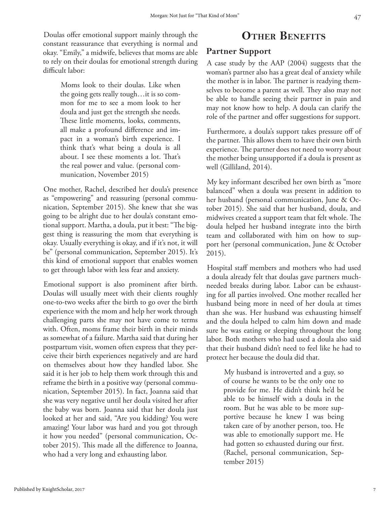Doulas offer emotional support mainly through the constant reassurance that everything is normal and okay. "Emily," a midwife, believes that moms are able to rely on their doulas for emotional strength during difficult labor:

> Moms look to their doulas. Like when the going gets really tough…it is so common for me to see a mom look to her doula and just get the strength she needs. These little moments, looks, comments, all make a profound difference and impact in a woman's birth experience. I think that's what being a doula is all about. I see these moments a lot. That's the real power and value. (personal communication, November 2015)

One mother, Rachel, described her doula's presence as "empowering" and reassuring (personal communication, September 2015). She knew that she was going to be alright due to her doula's constant emotional support. Martha, a doula, put it best: "The biggest thing is reassuring the mom that everything is okay. Usually everything is okay, and if it's not, it will be" (personal communication, September 2015). It's this kind of emotional support that enables women to get through labor with less fear and anxiety.

Emotional support is also prominent after birth. Doulas will usually meet with their clients roughly one-to-two weeks after the birth to go over the birth experience with the mom and help her work through challenging parts she may not have come to terms with. Often, moms frame their birth in their minds as somewhat of a failure. Martha said that during her postpartum visit, women often express that they perceive their birth experiences negatively and are hard on themselves about how they handled labor. She said it is her job to help them work through this and reframe the birth in a positive way (personal communication, September 2015). In fact, Joanna said that she was very negative until her doula visited her after the baby was born. Joanna said that her doula just looked at her and said, "Are you kidding? You were amazing! Your labor was hard and you got through it how you needed" (personal communication, October 2015). This made all the difference to Joanna, who had a very long and exhausting labor.

### **OTHER BENEFITS**

#### **Partner Support**

A case study by the AAP (2004) suggests that the woman's partner also has a great deal of anxiety while the mother is in labor. The partner is readying themselves to become a parent as well. They also may not be able to handle seeing their partner in pain and may not know how to help. A doula can clarify the role of the partner and offer suggestions for support.

Furthermore, a doula's support takes pressure off of the partner. This allows them to have their own birth experience. The partner does not need to worry about the mother being unsupported if a doula is present as well (Gilliland, 2014).

My key informant described her own birth as "more balanced" when a doula was present in addition to her husband (personal communication, June & October 2015). She said that her husband, doula, and midwives created a support team that felt whole. The doula helped her husband integrate into the birth team and collaborated with him on how to support her (personal communication, June & October 2015).

Hospital staff members and mothers who had used a doula already felt that doulas gave partners muchneeded breaks during labor. Labor can be exhausting for all parties involved. One mother recalled her husband being more in need of her doula at times than she was. Her husband was exhausting himself and the doula helped to calm him down and made sure he was eating or sleeping throughout the long labor. Both mothers who had used a doula also said that their husband didn't need to feel like he had to protect her because the doula did that.

> My husband is introverted and a guy, so of course he wants to be the only one to provide for me. He didn't think he'd be able to be himself with a doula in the room. But he was able to be more supportive because he knew I was being taken care of by another person, too. He was able to emotionally support me. He had gotten so exhausted during our first. (Rachel, personal communication, September 2015)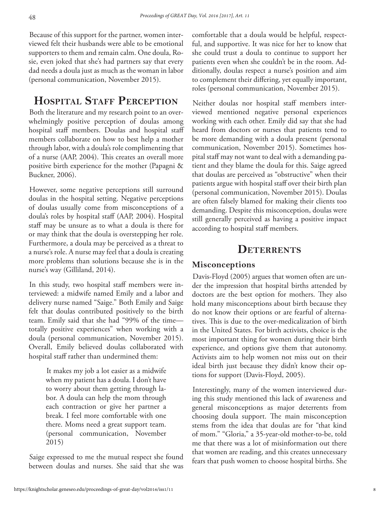Because of this support for the partner, women interviewed felt their husbands were able to be emotional supporters to them and remain calm. One doula, Rosie, even joked that she's had partners say that every dad needs a doula just as much as the woman in labor (personal communication, November 2015).

## **HOSPITAL STAFF PERCEPTION**

Both the literature and my research point to an overwhelmingly positive perception of doulas among hospital staff members. Doulas and hospital staff members collaborate on how to best help a mother through labor, with a doula's role complimenting that of a nurse (AAP, 2004). This creates an overall more positive birth experience for the mother (Papagni & Buckner, 2006).

However, some negative perceptions still surround doulas in the hospital setting. Negative perceptions of doulas usually come from misconceptions of a doula's roles by hospital staff (AAP, 2004). Hospital staff may be unsure as to what a doula is there for or may think that the doula is overstepping her role. Furthermore, a doula may be perceived as a threat to a nurse's role. A nurse may feel that a doula is creating more problems than solutions because she is in the nurse's way (Gilliland, 2014).

In this study, two hospital staff members were interviewed: a midwife named Emily and a labor and delivery nurse named "Saige." Both Emily and Saige felt that doulas contributed positively to the birth team. Emily said that she had "99% of the time totally positive experiences" when working with a doula (personal communication, November 2015). Overall, Emily believed doulas collaborated with hospital staff rather than undermined them:

> It makes my job a lot easier as a midwife when my patient has a doula. I don't have to worry about them getting through labor. A doula can help the mom through each contraction or give her partner a break. I feel more comfortable with one there. Moms need a great support team. (personal communication, November 2015)

Saige expressed to me the mutual respect she found between doulas and nurses. She said that she was

comfortable that a doula would be helpful, respectful, and supportive. It was nice for her to know that she could trust a doula to continue to support her patients even when she couldn't be in the room. Additionally, doulas respect a nurse's position and aim to complement their differing, yet equally important, roles (personal communication, November 2015).

Neither doulas nor hospital staff members interviewed mentioned negative personal experiences working with each other. Emily did say that she had heard from doctors or nurses that patients tend to be more demanding with a doula present (personal communication, November 2015). Sometimes hospital staff may not want to deal with a demanding patient and they blame the doula for this. Saige agreed that doulas are perceived as "obstructive" when their patients argue with hospital staff over their birth plan (personal communication, November 2015). Doulas are often falsely blamed for making their clients too demanding. Despite this misconception, doulas were still generally perceived as having a positive impact according to hospital staff members.

#### **DETERRENTS**

#### **Misconceptions**

Davis-Floyd (2005) argues that women often are under the impression that hospital births attended by doctors are the best option for mothers. They also hold many misconceptions about birth because they do not know their options or are fearful of alternatives. This is due to the over-medicalization of birth in the United States. For birth activists, choice is the most important thing for women during their birth experience, and options give them that autonomy. Activists aim to help women not miss out on their ideal birth just because they didn't know their options for support (Davis-Floyd, 2005).

Interestingly, many of the women interviewed during this study mentioned this lack of awareness and general misconceptions as major deterrents from choosing doula support. The main misconception stems from the idea that doulas are for "that kind of mom." "Gloria," a 35-year-old mother-to-be, told me that there was a lot of misinformation out there that women are reading, and this creates unnecessary fears that push women to choose hospital births. She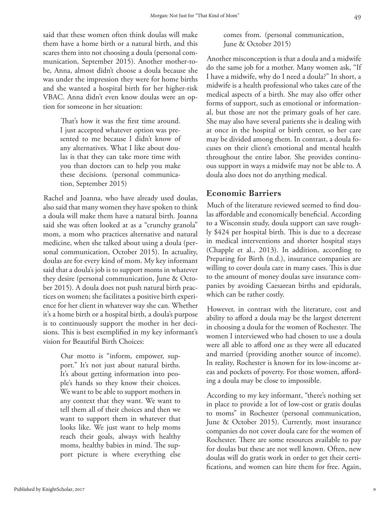said that these women often think doulas will make them have a home birth or a natural birth, and this scares them into not choosing a doula (personal communication, September 2015). Another mother-tobe, Anna, almost didn't choose a doula because she was under the impression they were for home births and she wanted a hospital birth for her higher-risk VBAC. Anna didn't even know doulas were an option for someone in her situation:

> That's how it was the first time around. I just accepted whatever option was presented to me because I didn't know of any alternatives. What I like about doulas is that they can take more time with you than doctors can to help you make these decisions. (personal communication, September 2015)

Rachel and Joanna, who have already used doulas, also said that many women they have spoken to think a doula will make them have a natural birth. Joanna said she was often looked at as a "crunchy granola" mom, a mom who practices alternative and natural medicine, when she talked about using a doula (personal communication, October 2015). In actuality, doulas are for every kind of mom. My key informant said that a doula's job is to support moms in whatever they desire (personal communication, June & October 2015). A doula does not push natural birth practices on women; she facilitates a positive birth experience for her client in whatever way she can. Whether it's a home birth or a hospital birth, a doula's purpose is to continuously support the mother in her decisions. This is best exemplified in my key informant's vision for Beautiful Birth Choices:

> Our motto is "inform, empower, support." It's not just about natural births. It's about getting information into people's hands so they know their choices. We want to be able to support mothers in any context that they want. We want to tell them all of their choices and then we want to support them in whatever that looks like. We just want to help moms reach their goals, always with healthy moms, healthy babies in mind. The support picture is where everything else

comes from. (personal communication, June & October 2015)

Another misconception is that a doula and a midwife do the same job for a mother. Many women ask, "If I have a midwife, why do I need a doula?" In short, a midwife is a health professional who takes care of the medical aspects of a birth. She may also offer other forms of support, such as emotional or informational, but those are not the primary goals of her care. She may also have several patients she is dealing with at once in the hospital or birth center, so her care may be divided among them. In contrast, a doula focuses on their client's emotional and mental health throughout the entire labor. She provides continuous support in ways a midwife may not be able to. A doula also does not do anything medical.

#### **Economic Barriers**

Much of the literature reviewed seemed to find doulas affordable and economically beneficial. According to a Wisconsin study, doula support can save roughly \$424 per hospital birth. This is due to a decrease in medical interventions and shorter hospital stays (Chapple et al., 2013). In addition, according to Preparing for Birth (n.d.), insurance companies are willing to cover doula care in many cases. This is due to the amount of money doulas save insurance companies by avoiding Caesarean births and epidurals, which can be rather costly.

However, in contrast with the literature, cost and ability to afford a doula may be the largest deterrent in choosing a doula for the women of Rochester. The women I interviewed who had chosen to use a doula were all able to afford one as they were all educated and married (providing another source of income). In reality, Rochester is known for its low-income areas and pockets of poverty. For those women, affording a doula may be close to impossible.

According to my key informant, "there's nothing set in place to provide a lot of low-cost or gratis doulas to moms" in Rochester (personal communication, June & October 2015). Currently, most insurance companies do not cover doula care for the women of Rochester. There are some resources available to pay for doulas but these are not well known. Often, new doulas will do gratis work in order to get their certifications, and women can hire them for free. Again,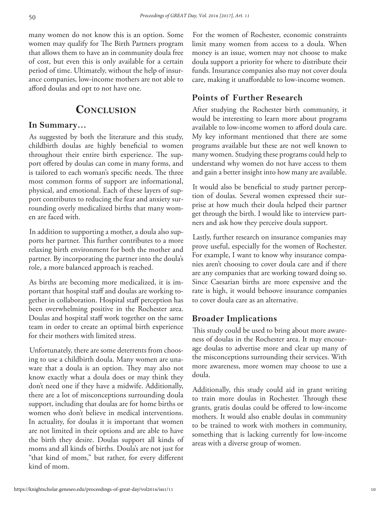many women do not know this is an option. Some women may qualify for The Birth Partners program that allows them to have an in community doula free of cost, but even this is only available for a certain period of time. Ultimately, without the help of insurance companies, low-income mothers are not able to afford doulas and opt to not have one.

#### **Conclusion**

#### **In Summary…**

As suggested by both the literature and this study, childbirth doulas are highly beneficial to women throughout their entire birth experience. The support offered by doulas can come in many forms, and is tailored to each woman's specific needs. The three most common forms of support are informational, physical, and emotional. Each of these layers of support contributes to reducing the fear and anxiety surrounding overly medicalized births that many women are faced with.

In addition to supporting a mother, a doula also supports her partner. This further contributes to a more relaxing birth environment for both the mother and partner. By incorporating the partner into the doula's role, a more balanced approach is reached.

As births are becoming more medicalized, it is important that hospital staff and doulas are working together in collaboration. Hospital staff perception has been overwhelming positive in the Rochester area. Doulas and hospital staff work together on the same team in order to create an optimal birth experience for their mothers with limited stress.

Unfortunately, there are some deterrents from choosing to use a childbirth doula. Many women are unaware that a doula is an option. They may also not know exactly what a doula does or may think they don't need one if they have a midwife. Additionally, there are a lot of misconceptions surrounding doula support, including that doulas are for home births or women who don't believe in medical interventions. In actuality, for doulas it is important that women are not limited in their options and are able to have the birth they desire. Doulas support all kinds of moms and all kinds of births. Doula's are not just for "that kind of mom," but rather, for every different kind of mom.

For the women of Rochester, economic constraints limit many women from access to a doula. When money is an issue, women may not choose to make doula support a priority for where to distribute their funds. Insurance companies also may not cover doula care, making it unaffordable to low-income women.

#### **Points of Further Research**

After studying the Rochester birth community, it would be interesting to learn more about programs available to low-income women to afford doula care. My key informant mentioned that there are some programs available but these are not well known to many women. Studying these programs could help to understand why women do not have access to them and gain a better insight into how many are available.

It would also be beneficial to study partner perception of doulas. Several women expressed their surprise at how much their doula helped their partner get through the birth. I would like to interview partners and ask how they perceive doula support.

Lastly, further research on insurance companies may prove useful, especially for the women of Rochester. For example, I want to know why insurance companies aren't choosing to cover doula care and if there are any companies that are working toward doing so. Since Caesarian births are more expensive and the rate is high, it would behoove insurance companies to cover doula care as an alternative.

#### **Broader Implications**

This study could be used to bring about more awareness of doulas in the Rochester area. It may encourage doulas to advertise more and clear up many of the misconceptions surrounding their services. With more awareness, more women may choose to use a doula.

Additionally, this study could aid in grant writing to train more doulas in Rochester. Through these grants, gratis doulas could be offered to low-income mothers. It would also enable doulas in community to be trained to work with mothers in community, something that is lacking currently for low-income areas with a diverse group of women.